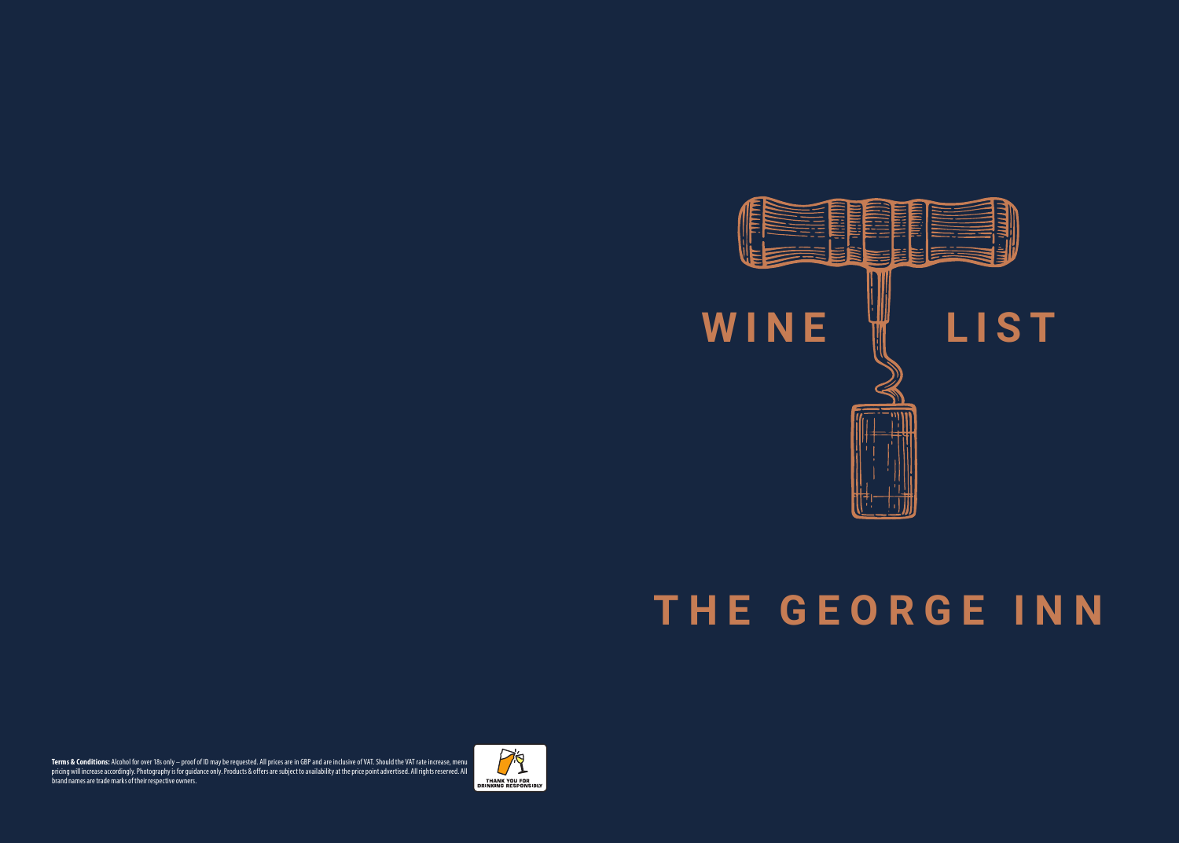

## **THE GEORGE INN**

**Terms & Conditions:** Alcohol for over 18s only – proof of ID may be requested. All prices are in GBP and are indusive of VAT. Should the VAT rate increase, menu<br>pricing will increase accordingly. Photography is for guidan brand names are trade marks of their respective owners.